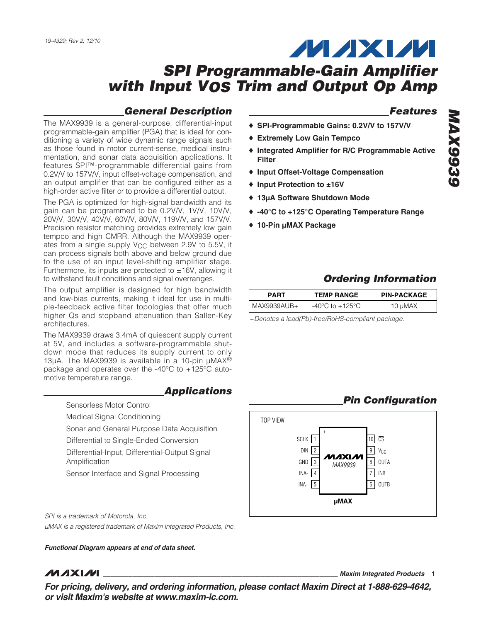## **General Description**

The MAX9939 is a general-purpose, differential-input programmable-gain amplifier (PGA) that is ideal for conditioning a variety of wide dynamic range signals such as those found in motor current-sense, medical instrumentation, and sonar data acquisition applications. It features SPI™-programmable differential gains from 0.2V/V to 157V/V, input offset-voltage compensation, and an output amplifier that can be configured either as a high-order active filter or to provide a differential output.

The PGA is optimized for high-signal bandwidth and its gain can be programmed to be 0.2V/V, 1V/V, 10V/V, 20V/V, 30V/V, 40V/V, 60V/V, 80V/V, 119V/V, and 157V/V. Precision resistor matching provides extremely low gain tempco and high CMRR. Although the MAX9939 operates from a single supply V<sub>CC</sub> between 2.9V to 5.5V, it can process signals both above and below ground due to the use of an input level-shifting amplifier stage. Furthermore, its inputs are protected to  $\pm 16V$ , allowing it to withstand fault conditions and signal overranges.

The output amplifier is designed for high bandwidth and low-bias currents, making it ideal for use in multiple-feedback active filter topologies that offer much higher Qs and stopband attenuation than Sallen-Key architectures.

The MAX9939 draws 3.4mA of quiescent supply current at 5V, and includes a software-programmable shutdown mode that reduces its supply current to only 13 $\mu$ A. The MAX9939 is available in a 10-pin  $\mu$ MAX<sup>®</sup> package and operates over the -40°C to +125°C automotive temperature range.

#### **Applications**

- Sensorless Motor Control
- Medical Signal Conditioning
- Sonar and General Purpose Data Acquisition
- Differential to Single-Ended Conversion
- Differential-Input, Differential-Output Signal Amplification
- Sensor Interface and Signal Processing

SPI is a trademark of Motorola, Inc. µMAX is a registered trademark of Maxim Integrated Products, Inc.

**Functional Diagram appears at end of data sheet.**

## **MAXM**

**\_\_\_\_\_\_\_\_\_\_\_\_\_\_\_\_\_\_\_\_\_\_\_\_\_\_\_\_\_\_\_\_\_\_\_\_\_\_\_\_\_\_\_\_\_\_\_\_\_\_\_\_\_\_\_\_\_\_\_\_\_\_\_\_ Maxim Integrated Products 1**

**MAX9939 MAX9935** 

**Features**

**MAXM** 

- ♦ **SPI-Programmable Gains: 0.2V/V to 157V/V**
- ♦ **Extremely Low Gain Tempco**
- ♦ **Integrated Amplifier for R/C Programmable Active Filter**
- ♦ **Input Offset-Voltage Compensation**
- ♦ **Input Protection to ±16V**
- ♦ **13µA Software Shutdown Mode**
- ♦ **-40°C to +125°C Operating Temperature Range**
- ♦ **10-Pin µMAX Package**

## **Ordering Information**

| <b>PART</b> | <b>TEMP RANGE</b> | <b>PIN-PACKAGE</b> |
|-------------|-------------------|--------------------|
| MAX9939AUB+ | -40°C to +125°C.  | 10 µMAX            |

+Denotes a lead(Pb)-free/RoHS-compliant package.

## **Pin Configuration**



**For pricing, delivery, and ordering information, please contact Maxim Direct at 1-888-629-4642, or visit Maxim's website at www.maxim-ic.com.**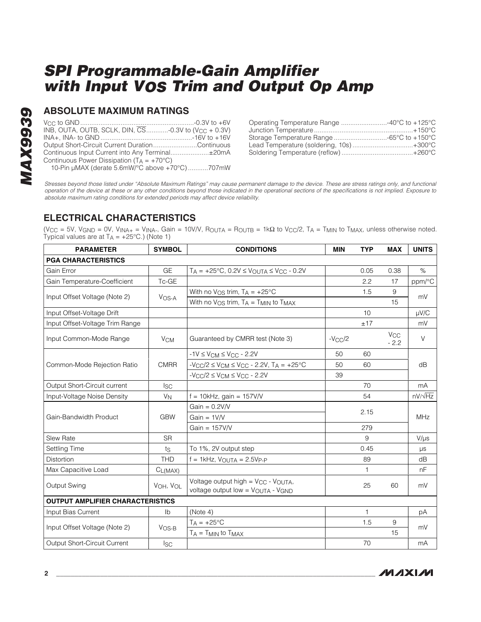## **ABSOLUTE MAXIMUM RATINGS**

| INB, OUTA, OUTB, SCLK, DIN, $\overline{\text{CS}}$ -0.3V to (V <sub>CC</sub> + 0.3V) |  |
|--------------------------------------------------------------------------------------|--|
|                                                                                      |  |
| Output Short-Circuit Current DurationContinuous                                      |  |
| Continuous Input Current into Any Terminal±20mA                                      |  |
| Continuous Power Dissipation ( $T_A = +70^{\circ}C$ )                                |  |
| 10-Pin µMAX (derate 5.6mW/°C above +70°C)707mW                                       |  |

| Operating Temperature Range 40°C to +125°C |  |
|--------------------------------------------|--|
|                                            |  |
|                                            |  |
| Lead Temperature (soldering, 10s)+300°C    |  |
|                                            |  |

Stresses beyond those listed under "Absolute Maximum Ratings" may cause permanent damage to the device. These are stress ratings only, and functional operation of the device at these or any other conditions beyond those indicated in the operational sections of the specifications is not implied. Exposure to absolute maximum rating conditions for extended periods may affect device reliability.

## **ELECTRICAL CHARACTERISTICS**

(V<sub>CC</sub> = 5V, V<sub>GND</sub> = 0V, V<sub>INA+</sub> = V<sub>INA-</sub>, Gain = 10V/V, R<sub>OUTA</sub> = R<sub>OUTB</sub> = 1kΩ to V<sub>CC</sub>/2, T<sub>A</sub> = T<sub>MIN</sub> to T<sub>MAX</sub>, unless otherwise noted. Typical values are at  $T_A = +25^{\circ}C$ .) (Note 1)

| <b>PARAMETER</b>                        | <b>SYMBOL</b>         | <b>CONDITIONS</b>                                                                  | <b>MIN</b> | <b>TYP</b>   | <b>MAX</b>                | <b>UNITS</b>   |
|-----------------------------------------|-----------------------|------------------------------------------------------------------------------------|------------|--------------|---------------------------|----------------|
| <b>PGA CHARACTERISTICS</b>              |                       |                                                                                    |            |              |                           |                |
| Gain Error                              | GE                    | $T_A = +25^{\circ}C$ , 0.2V $\leq V_{\text{OUTA}} \leq V_{\text{CC}} - 0.2V$       |            | 0.05         | 0.38                      | $\%$           |
| Gain Temperature-Coefficient            | Tc-GE                 |                                                                                    |            | 2.2          | 17                        | ppm/°C         |
| Input Offset Voltage (Note 2)           |                       | With no $V_{OS}$ trim, $T_A = +25°C$                                               |            | 1.5          | 9                         | mV             |
|                                         | V <sub>OS-A</sub>     | With no $V_{OS}$ trim, $T_A = T_{MIN}$ to $T_{MAX}$                                |            |              | 15                        |                |
| Input Offset-Voltage Drift              |                       |                                                                                    |            | 10           |                           | $\mu$ V/C      |
| Input Offset-Voltage Trim Range         |                       |                                                                                    |            | ±17          |                           | mV             |
| Input Common-Mode Range                 | <b>V<sub>CM</sub></b> | Guaranteed by CMRR test (Note 3)                                                   | $-VCC/2$   |              | V <sub>CC</sub><br>$-2.2$ | $\vee$         |
|                                         |                       | $-1V \leq V_{CM} \leq V_{CC} - 2.2V$                                               | 50         | 60           |                           |                |
| Common-Mode Rejection Ratio             | <b>CMRR</b>           | $-VCC/2 \le V_{CM} \le V_{CC} - 2.2V$ , $T_A = +25°C$                              | 50         | 60           |                           | dB             |
|                                         |                       | $-VCC/2 \leq VCM \leq VCC - 2.2V$                                                  | 39         |              |                           |                |
| Output Short-Circuit current            | <b>ISC</b>            |                                                                                    |            | 70           |                           | mA             |
| Input-Voltage Noise Density             | $V_N$                 | $f = 10kHz$ , gain = 157V/V                                                        |            | 54           |                           | $nV/\sqrt{Hz}$ |
|                                         | <b>GBW</b>            | $Gain = 0.2$ V/V                                                                   | 2.15       |              |                           | MHz            |
| Gain-Bandwidth Product                  |                       | Gain = $1 V/V$                                                                     |            |              |                           |                |
|                                         |                       | Gain = $157V/V$                                                                    |            | 279          |                           |                |
| Slew Rate                               | <b>SR</b>             |                                                                                    |            | 9            |                           | $V/\mu s$      |
| Settling Time                           | ts                    | To 1%, 2V output step                                                              |            | 0.45         |                           | μs             |
| <b>Distortion</b>                       | <b>THD</b>            | $f = 1$ kHz, $V_{OUTA} = 2.5V_{P-P}$                                               |            | 89           |                           | dB             |
| Max Capacitive Load                     | $C_{L(MAX)}$          |                                                                                    |            | $\mathbf{1}$ |                           | nF             |
| Output Swing                            | VOH, VOL              | Voltage output high = $V_{CC}$ - $V_{OUTA}$ ,<br>voltage output low = VOUTA - VGND |            | 25           | 60                        | mV             |
| <b>OUTPUT AMPLIFIER CHARACTERISTICS</b> |                       |                                                                                    |            |              |                           |                |
| Input Bias Current                      | Ib                    | (Note 4)                                                                           |            | 1            |                           | рA             |
| Input Offset Voltage (Note 2)           |                       | $T_A = +25$ °C                                                                     |            | 1.5          | 9                         | mV             |
|                                         | $V$ OS-B              | $T_A = T_{MIN}$ to $T_{MAX}$                                                       |            |              | 15                        |                |
| Output Short-Circuit Current            | <b>Isc</b>            |                                                                                    |            | 70           |                           | mA             |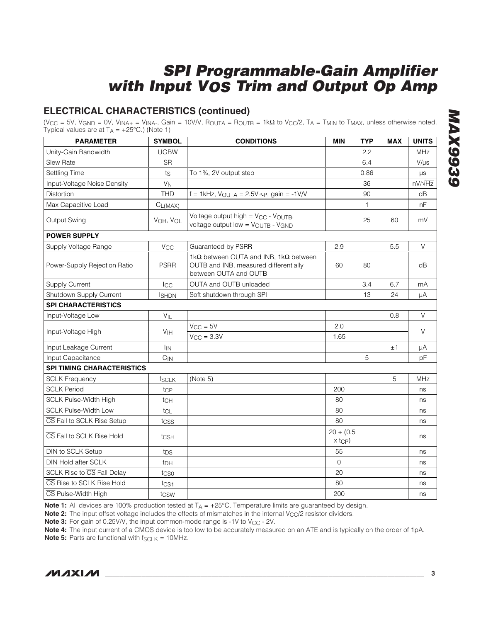## **ELECTRICAL CHARACTERISTICS (continued)**

(V<sub>CC</sub> = 5V, V<sub>GND</sub> = 0V, V<sub>INA+</sub> = V<sub>INA-</sub>, Gain = 10V/V, R<sub>OUTA</sub> = R<sub>OUTB</sub> = 1kΩ to V<sub>CC</sub>/2, T<sub>A</sub> = T<sub>MIN</sub> to T<sub>MAX</sub>, unless otherwise noted. Typical values are at  $T_A = +25^{\circ}C$ .) (Note 1)

| <b>PARAMETER</b>                  | <b>SYMBOL</b>                                                                                                | <b>CONDITIONS</b>                                                                                                       | <b>MIN</b>                              | <b>TYP</b> | <b>MAX</b> | <b>UNITS</b>   |
|-----------------------------------|--------------------------------------------------------------------------------------------------------------|-------------------------------------------------------------------------------------------------------------------------|-----------------------------------------|------------|------------|----------------|
| Unity-Gain Bandwidth              | <b>UGBW</b>                                                                                                  |                                                                                                                         |                                         | 2.2        |            | <b>MHz</b>     |
| <b>Slew Rate</b>                  | <b>SR</b>                                                                                                    |                                                                                                                         |                                         | 6.4        |            | $V/\mu s$      |
| Settling Time                     | ts                                                                                                           | To 1%, 2V output step                                                                                                   |                                         | 0.86       |            | μs             |
| Input-Voltage Noise Density       | $V_N$                                                                                                        |                                                                                                                         |                                         | 36         |            | $nV/\sqrt{Hz}$ |
| <b>Distortion</b>                 | <b>THD</b>                                                                                                   | $f = 1$ kHz, V <sub>OUTA</sub> = 2.5V <sub>P-P</sub> , gain = -1V/V                                                     |                                         | 90         |            | dB             |
| Max Capacitive Load               | $C_{L(MAX)}$                                                                                                 |                                                                                                                         |                                         | 1          |            | nF             |
| Output Swing                      | Voltage output high = V <sub>CC</sub> - V <sub>OUTB</sub> ,<br>VOH, VOL<br>voltage output low = VOUTB - VGND |                                                                                                                         |                                         | 25         | 60         | mV             |
| <b>POWER SUPPLY</b>               |                                                                                                              |                                                                                                                         |                                         |            |            |                |
| Supply Voltage Range              | <b>V<sub>CC</sub></b>                                                                                        | Guaranteed by PSRR                                                                                                      | 2.9                                     |            | 5.5        | V              |
| Power-Supply Rejection Ratio      | <b>PSRR</b>                                                                                                  | 1k $\Omega$ between OUTA and INB, 1k $\Omega$ between<br>OUTB and INB, measured differentially<br>between OUTA and OUTB | 60                                      | 80         |            | dB             |
| <b>Supply Current</b>             | $_{\text{LCC}}$                                                                                              | OUTA and OUTB unloaded                                                                                                  |                                         | 3.4        | 6.7        | mA             |
| Shutdown Supply Current           | <b>SHDN</b>                                                                                                  | Soft shutdown through SPI                                                                                               |                                         | 13         | 24         | μA             |
| <b>SPI CHARACTERISTICS</b>        |                                                                                                              |                                                                                                                         |                                         |            |            |                |
| Input-Voltage Low                 | $V_{IL}$                                                                                                     |                                                                                                                         |                                         |            | 0.8        | V              |
| Input-Voltage High                | V <sub>IH</sub>                                                                                              | $V_{CC} = 5V$                                                                                                           | 2.0                                     |            |            | $\vee$         |
|                                   |                                                                                                              | $V_{\rm CC} = 3.3V$                                                                                                     | 1.65                                    |            |            |                |
| Input Leakage Current             | <b>I<sub>IN</sub></b>                                                                                        |                                                                                                                         |                                         |            | ±1         | μA             |
| Input Capacitance                 | $C_{IN}$                                                                                                     |                                                                                                                         |                                         | 5          |            | pF             |
| <b>SPI TIMING CHARACTERISTICS</b> |                                                                                                              |                                                                                                                         |                                         |            |            |                |
| <b>SCLK Frequency</b>             | <b>fSCLK</b>                                                                                                 | (Note 5)                                                                                                                |                                         |            | 5          | <b>MHz</b>     |
| <b>SCLK Period</b>                | tcp                                                                                                          |                                                                                                                         | 200                                     |            |            | ns             |
| <b>SCLK Pulse-Width High</b>      | tch                                                                                                          |                                                                                                                         | 80                                      |            |            | ns             |
| <b>SCLK Pulse-Width Low</b>       | $t_{CL}$                                                                                                     |                                                                                                                         | 80                                      |            |            | ns             |
| CS Fall to SCLK Rise Setup        | tcss                                                                                                         |                                                                                                                         | 80                                      |            |            | ns             |
| CS Fall to SCLK Rise Hold         | tcsн                                                                                                         |                                                                                                                         | $20 + (0.5)$<br>$x$ t <sub>CP</sub> $)$ |            |            | ns             |
| <b>DIN to SCLK Setup</b>          | tps                                                                                                          |                                                                                                                         | 55                                      |            |            | ns             |
| DIN Hold after SCLK               | t <sub>DH</sub>                                                                                              |                                                                                                                         | $\mathbf{O}$                            |            |            | ns             |
| SCLK Rise to CS Fall Delay        | tcso                                                                                                         |                                                                                                                         | 20                                      |            |            | ns             |
| CS Rise to SCLK Rise Hold         | t <sub>CS1</sub>                                                                                             |                                                                                                                         | 80                                      |            |            | ns             |
| CS Pulse-Width High               | tcsw                                                                                                         |                                                                                                                         | 200                                     |            |            | ns             |

**Note 1:** All devices are 100% production tested at T<sub>A</sub> = +25°C. Temperature limits are guaranteed by design.

**Note 2:** The input offset voltage includes the effects of mismatches in the internal V<sub>CC</sub>/2 resistor dividers.

**Note 3:** For gain of 0.25V/V, the input common-mode range is -1V to V<sub>CC</sub> - 2V.

**Note 4:** The input current of a CMOS device is too low to be accurately measured on an ATE and is typically on the order of 1pA.

**Note 5:** Parts are functional with  $f_{SCLK} = 10$ MHz.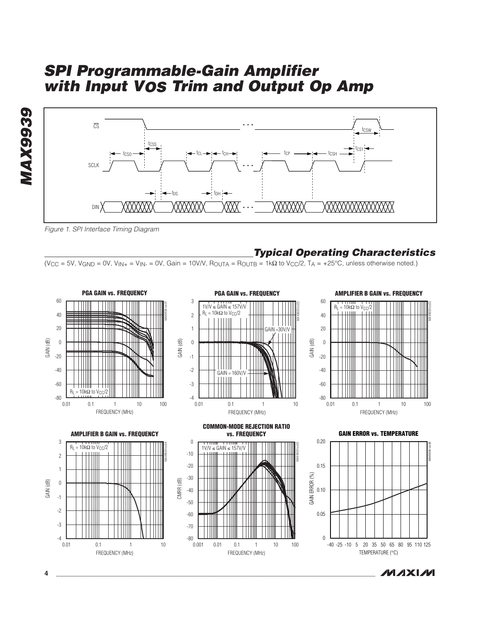



Figure 1. SPI Interface Timing Diagram

### **Typical Operating Characteristics**

(V<sub>CC</sub> = 5V, V<sub>GND</sub> = 0V, V<sub>IN+</sub> = V<sub>IN-</sub> = 0V, Gain = 10V/V, R<sub>OUTA</sub> = R<sub>OUTB</sub> = 1kΩ to V<sub>CC</sub>/2, T<sub>A</sub> = +25°C, unless otherwise noted.)



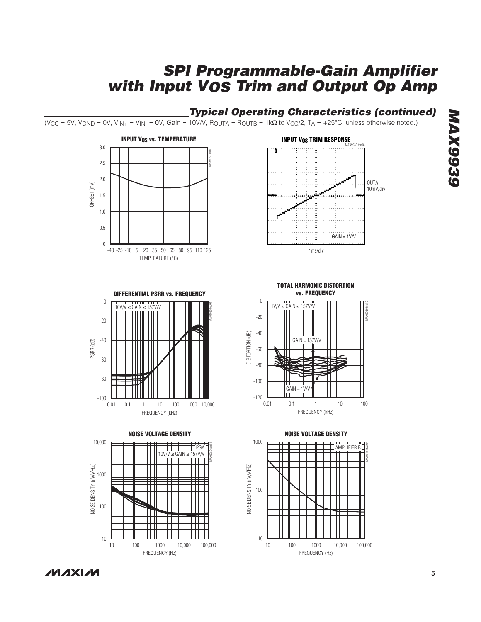## **Typical Operating Characteristics (continued)**

(V<sub>CC</sub> = 5V, V<sub>GND</sub> = 0V, V<sub>IN+</sub> = V<sub>IN-</sub> = 0V, Gain = 10V/V, R<sub>OUTA</sub> = R<sub>OUTB</sub> = 1kΩ to V<sub>CC</sub>/2, T<sub>A</sub> = +25°C, unless otherwise noted.)









**TOTAL HARMONIC DISTORTION**





**NOISE VOLTAGE DENSITY**

**MAXM**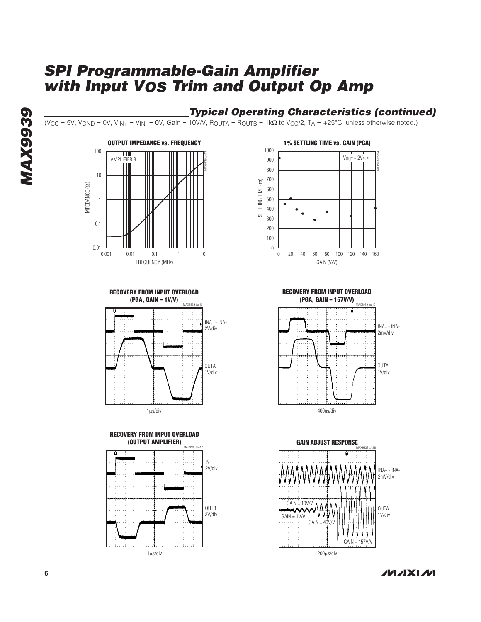## **Typical Operating Characteristics (continued)**

(V<sub>CC</sub> = 5V, V<sub>GND</sub> = 0V, V<sub>IN+</sub> = V<sub>IN-</sub> = 0V, Gain = 10V/V, R<sub>OUTA</sub> = R<sub>OUTB</sub> = 1kΩ to V<sub>CC</sub>/2, T<sub>A</sub> = +25°C, unless otherwise noted.)











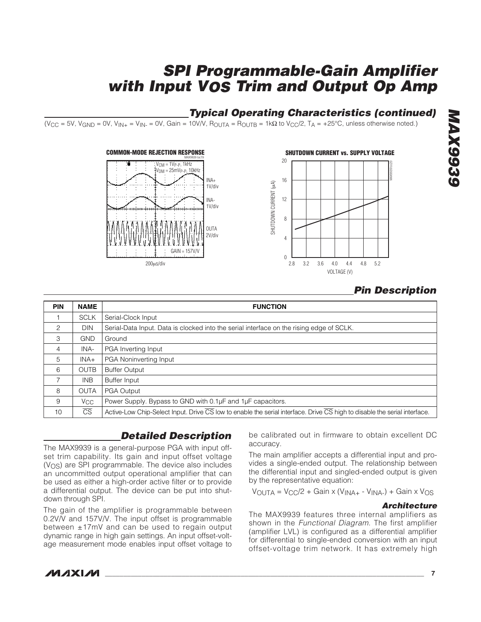## **Typical Operating Characteristics (continued)**

 $(V_{\text{CC}} = 5V, V_{\text{GND}} = 0V, V_{\text{IN+}} = V_{\text{IN-}} = 0V,$  Gain = 10V/V,  $R_{\text{OUTA}} = R_{\text{OUTB}} = 1k\Omega$  to  $V_{\text{CC}}/2$ ,  $T_{\text{A}} = +25^{\circ}\text{C}$ , unless otherwise noted.)





## **Pin Description**

| <b>PIN</b> | <b>NAME</b>            | <b>FUNCTION</b>                                                                                                           |
|------------|------------------------|---------------------------------------------------------------------------------------------------------------------------|
|            | <b>SCLK</b>            | Serial-Clock Input                                                                                                        |
| 2          | <b>DIN</b>             | Serial-Data Input. Data is clocked into the serial interface on the rising edge of SCLK.                                  |
| 3          | <b>GND</b>             | Ground                                                                                                                    |
| 4          | INA-                   | PGA Inverting Input                                                                                                       |
| 5          | $INA+$                 | PGA Noninverting Input                                                                                                    |
| 6          | <b>OUTB</b>            | <b>Buffer Output</b>                                                                                                      |
| 7          | INB                    | <b>Buffer Input</b>                                                                                                       |
| 8          | <b>OUTA</b>            | <b>PGA Output</b>                                                                                                         |
| 9          | <b>V<sub>CC</sub></b>  | Power Supply. Bypass to GND with 0.1µF and 1µF capacitors.                                                                |
| 10         | $\overline{\text{CS}}$ | Active-Low Chip-Select Input. Drive CS low to enable the serial interface. Drive CS high to disable the serial interface. |

## **Detailed Description**

The MAX9939 is a general-purpose PGA with input offset trim capability. Its gain and input offset voltage (VOS) are SPI programmable. The device also includes an uncommitted output operational amplifier that can be used as either a high-order active filter or to provide a differential output. The device can be put into shutdown through SPI.

The gain of the amplifier is programmable between 0.2V/V and 157V/V. The input offset is programmable between ±17mV and can be used to regain output dynamic range in high gain settings. An input offset-voltage measurement mode enables input offset voltage to

be calibrated out in firmware to obtain excellent DC accuracy.

The main amplifier accepts a differential input and provides a single-ended output. The relationship between the differential input and singled-ended output is given by the representative equation:

 $V_{\text{OUTA}} = V_{\text{CC}}/2 + \text{Gain} \times (V_{\text{INA+}} - V_{\text{INA-}}) + \text{Gain} \times V_{\text{OS}}$ 

#### **Architecture**

The MAX9939 features three internal amplifiers as shown in the Functional Diagram. The first amplifier (amplifier LVL) is configured as a differential amplifier for differential to single-ended conversion with an input offset-voltage trim network. It has extremely high

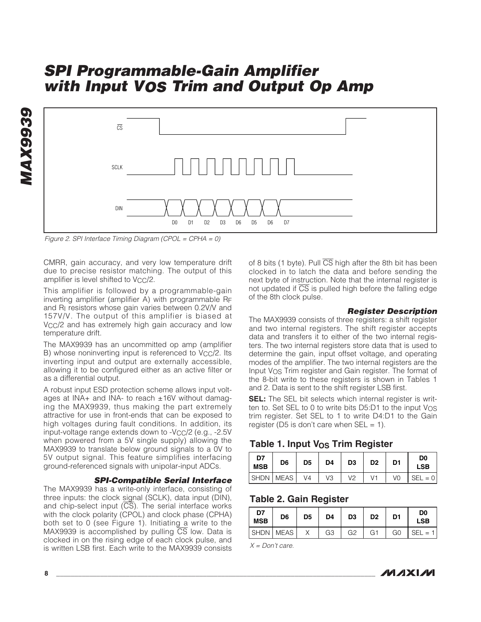

Figure 2. SPI Interface Timing Diagram (CPOL = CPHA = 0)

CMRR, gain accuracy, and very low temperature drift due to precise resistor matching. The output of this amplifier is level shifted to  $V_{CC}/2$ .

This amplifier is followed by a programmable-gain inverting amplifier (amplifier A) with programmable RF and R<sub>I</sub> resistors whose gain varies between 0.2V/V and 157V/V. The output of this amplifier is biased at V<sub>CC</sub>/2 and has extremely high gain accuracy and low temperature drift.

The MAX9939 has an uncommitted op amp (amplifier B) whose noninverting input is referenced to V<sub>CC</sub>/2. Its inverting input and output are externally accessible, allowing it to be configured either as an active filter or as a differential output.

A robust input ESD protection scheme allows input voltages at INA+ and INA- to reach  $\pm 16V$  without damaging the MAX9939, thus making the part extremely attractive for use in front-ends that can be exposed to high voltages during fault conditions. In addition, its input-voltage range extends down to  $-V_{CC}/2$  (e.g.,  $-2.5V$ when powered from a 5V single supply) allowing the MAX9939 to translate below ground signals to a 0V to 5V output signal. This feature simplifies interfacing ground-referenced signals with unipolar-input ADCs.

#### **SPI-Compatible Serial Interface**

The MAX9939 has a write-only interface, consisting of three inputs: the clock signal (SCLK), data input (DIN), and chip-select input  $(\overline{CS})$ . The serial interface works with the clock polarity (CPOL) and clock phase (CPHA) both set to 0 (see Figure 1). Initiating a write to the MAX9939 is accomplished by pulling  $\overline{CS}$  low. Data is clocked in on the rising edge of each clock pulse, and is written LSB first. Each write to the MAX9939 consists

of 8 bits (1 byte). Pull  $\overline{\text{CS}}$  high after the 8th bit has been clocked in to latch the data and before sending the next byte of instruction. Note that the internal register is not updated if  $\overline{CS}$  is pulled high before the falling edge of the 8th clock pulse.

#### **Register Description**

The MAX9939 consists of three registers: a shift register and two internal registers. The shift register accepts data and transfers it to either of the two internal registers. The two internal registers store data that is used to determine the gain, input offset voltage, and operating modes of the amplifier. The two internal registers are the Input VOS Trim register and Gain register. The format of the 8-bit write to these registers is shown in Tables 1 and 2. Data is sent to the shift register LSB first.

**SEL:** The SEL bit selects which internal register is written to. Set SEL to 0 to write bits  $D5:D1$  to the input  $V_{OS}$ trim register. Set SEL to 1 to write D4:D1 to the Gain register (D5 is don't care when  $SEL = 1$ ).

|  |  |  |  |  | Table 1. Input Vos Trim Register |
|--|--|--|--|--|----------------------------------|
|--|--|--|--|--|----------------------------------|

| D7<br><b>MSB</b> | D <sub>6</sub> | D5             | D4 | D <sub>3</sub> | D <sub>2</sub> | D1 | D <sub>0</sub><br><b>LSB</b> |
|------------------|----------------|----------------|----|----------------|----------------|----|------------------------------|
| SHDN MEAS        |                | V <sub>4</sub> | VЗ | \/2            |                | VO | $SEL = 0$                    |

#### **Table 2. Gain Register**

| D7<br><b>MSB</b> | D <sub>6</sub> | D <sub>5</sub> | D4             | D <sub>3</sub> | D <sub>2</sub> | D1             | D <sub>0</sub><br><b>LSB</b> |
|------------------|----------------|----------------|----------------|----------------|----------------|----------------|------------------------------|
| SHDN MEAS        |                |                | G <sub>3</sub> | G <sub>2</sub> | G1             | G <sub>0</sub> | $SEL =$                      |

 $X = Don't care.$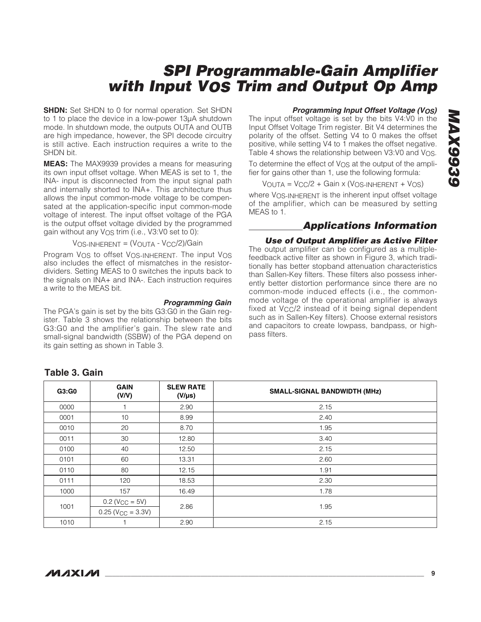**SHDN:** Set SHDN to 0 for normal operation. Set SHDN to 1 to place the device in a low-power 13µA shutdown mode. In shutdown mode, the outputs OUTA and OUTB are high impedance, however, the SPI decode circuitry is still active. Each instruction requires a write to the SHDN bit.

**MEAS:** The MAX9939 provides a means for measuring its own input offset voltage. When MEAS is set to 1, the INA- input is disconnected from the input signal path and internally shorted to INA+. This architecture thus allows the input common-mode voltage to be compensated at the application-specific input common-mode voltage of interest. The input offset voltage of the PGA is the output offset voltage divided by the programmed gain without any  $V_{\text{OS}}$  trim (i.e., V3:V0 set to 0):

VOS-INHERENT = (VOUTA - VCC/2)/Gain

Program V<sub>OS</sub> to offset V<sub>OS-INHERENT</sub>. The input V<sub>OS</sub> also includes the effect of mismatches in the resistordividers. Setting MEAS to 0 switches the inputs back to the signals on INA+ and INA-. Each instruction requires a write to the MEAS bit.

#### **Programming Gain**

The PGA's gain is set by the bits G3:G0 in the Gain register. Table 3 shows the relationship between the bits G3:G0 and the amplifier's gain. The slew rate and small-signal bandwidth (SSBW) of the PGA depend on its gain setting as shown in Table 3.

#### **Programming Input Offset Voltage (VOS)**

The input offset voltage is set by the bits V4:V0 in the Input Offset Voltage Trim register. Bit V4 determines the polarity of the offset. Setting V4 to 0 makes the offset positive, while setting V4 to 1 makes the offset negative. Table 4 shows the relationship between V3:V0 and V<sub>OS</sub>.

To determine the effect of  $V_{OS}$  at the output of the amplifier for gains other than 1, use the following formula:

 $V_{\text{OUTA}} = V_{\text{CC}}/2 + \text{Gain} \times (V_{\text{OS-INHERENT}} + V_{\text{OS}})$ 

where VOS-INHERENT is the inherent input offset voltage of the amplifier, which can be measured by setting MEAS to 1.

## **Applications Information**

#### **Use of Output Amplifier as Active Filter**

The output amplifier can be configured as a multiplefeedback active filter as shown in Figure 3, which traditionally has better stopband attenuation characteristics than Sallen-Key filters. These filters also possess inherently better distortion performance since there are no common-mode induced effects (i.e., the commonmode voltage of the operational amplifier is always fixed at  $V_{\text{CC}}/2$  instead of it being signal dependent such as in Sallen-Key filters). Choose external resistors and capacitors to create lowpass, bandpass, or highpass filters.

#### **Table 3. Gain**

| G3:G0 | <b>GAIN</b><br>(V/V)            | <b>SLEW RATE</b><br>$(V/\mu s)$ | <b>SMALL-SIGNAL BANDWIDTH (MHz)</b> |
|-------|---------------------------------|---------------------------------|-------------------------------------|
| 0000  |                                 | 2.90                            | 2.15                                |
| 0001  | 10                              | 8.99                            | 2.40                                |
| 0010  | 20                              | 8.70                            | 1.95                                |
| 0011  | 30                              | 12.80                           | 3.40                                |
| 0100  | 40                              | 12.50                           | 2.15                                |
| 0101  | 60                              | 13.31                           | 2.60                                |
| 0110  | 80                              | 12.15                           | 1.91                                |
| 0111  | 120                             | 18.53                           | 2.30                                |
| 1000  | 157                             | 16.49                           | 1.78                                |
|       | $0.2$ (V <sub>CC</sub> = 5V)    |                                 |                                     |
| 1001  | $0.25$ (V <sub>CC</sub> = 3.3V) | 2.86                            | 1.95                                |
| 1010  |                                 | 2.90                            | 2.15                                |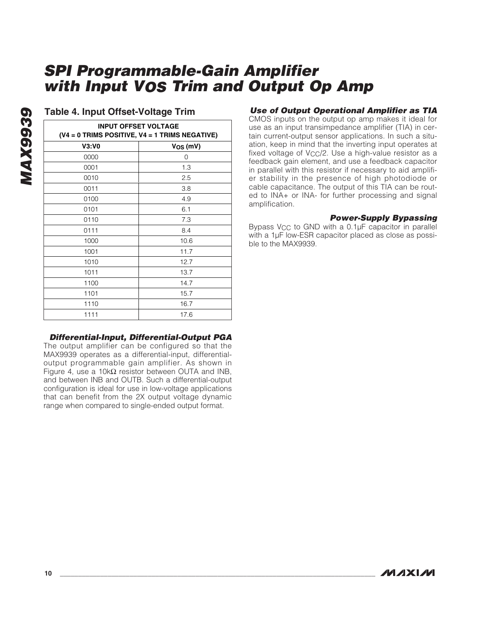| <b>INPUT OFFSET VOLTAGE</b><br>$(V4 = 0$ TRIMS POSITIVE, $V4 = 1$ TRIMS NEGATIVE) |              |  |  |  |  |
|-----------------------------------------------------------------------------------|--------------|--|--|--|--|
| V3:V0                                                                             | $V_{OS}(mV)$ |  |  |  |  |
| 0000                                                                              | 0            |  |  |  |  |
| 0001                                                                              | 1.3          |  |  |  |  |
| 0010                                                                              | 2.5          |  |  |  |  |
| 0011                                                                              | 3.8          |  |  |  |  |
| 0100                                                                              | 4.9          |  |  |  |  |
| 0101                                                                              | 6.1          |  |  |  |  |
| 0110                                                                              | 7.3          |  |  |  |  |
| 0111                                                                              | 8.4          |  |  |  |  |
| 1000                                                                              | 10.6         |  |  |  |  |
| 1001                                                                              | 11.7         |  |  |  |  |
| 1010                                                                              | 12.7         |  |  |  |  |
| 1011                                                                              | 13.7         |  |  |  |  |
| 1100                                                                              | 14.7         |  |  |  |  |
| 1101                                                                              | 15.7         |  |  |  |  |
| 1110                                                                              | 16.7         |  |  |  |  |
| 1111                                                                              | 17.6         |  |  |  |  |

#### **Table 4. Input Offset-Voltage Trim**

**MAX9939**

**MAX9939** 

#### **Use of Output Operational Amplifier as TIA**

CMOS inputs on the output op amp makes it ideal for use as an input transimpedance amplifier (TIA) in certain current-output sensor applications. In such a situation, keep in mind that the inverting input operates at fixed voltage of  $V_{\text{CC}}/2$ . Use a high-value resistor as a feedback gain element, and use a feedback capacitor in parallel with this resistor if necessary to aid amplifier stability in the presence of high photodiode or cable capacitance. The output of this TIA can be routed to INA+ or INA- for further processing and signal amplification.

#### **Power-Supply Bypassing**

Bypass V<sub>CC</sub> to GND with a 0.1µF capacitor in parallel with a 1µF low-ESR capacitor placed as close as possible to the MAX9939.

#### **Differential-Input, Differential-Output PGA**

The output amplifier can be configured so that the MAX9939 operates as a differential-input, differentialoutput programmable gain amplifier. As shown in Figure 4, use a 10kΩ resistor between OUTA and INB, and between INB and OUTB. Such a differential-output configuration is ideal for use in low-voltage applications that can benefit from the 2X output voltage dynamic range when compared to single-ended output format.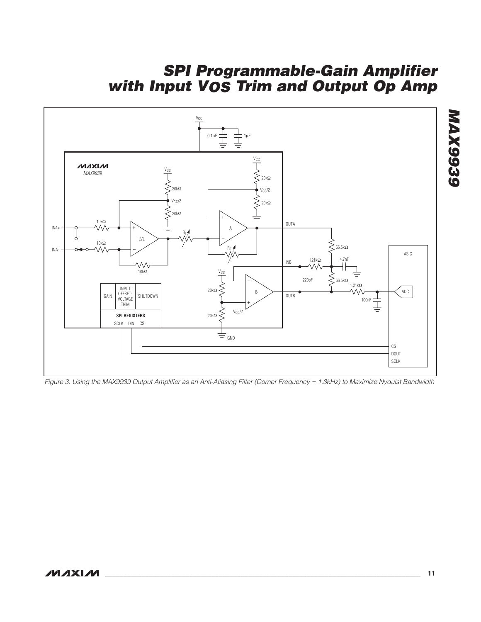

Figure 3. Using the MAX9939 Output Amplifier as an Anti-Aliasing Filter (Corner Frequency = 1.3kHz) to Maximize Nyquist Bandwidth

**MAX9939**

**MAX9939**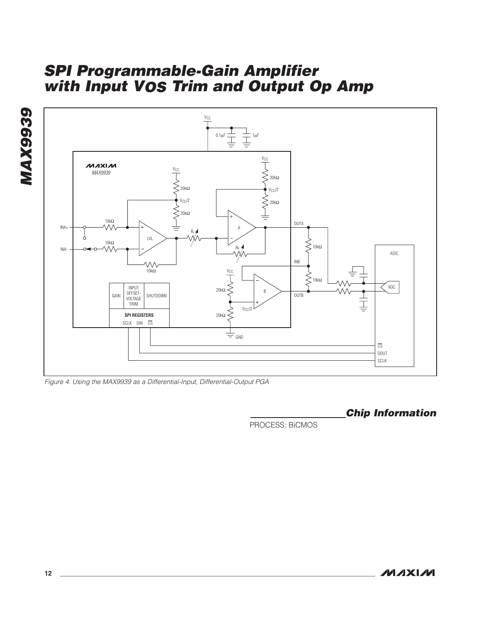



Figure 4. Using the MAX9939 as a Differential-Input, Differential-Output PGA

**Chip Information**

PROCESS: BiCMOS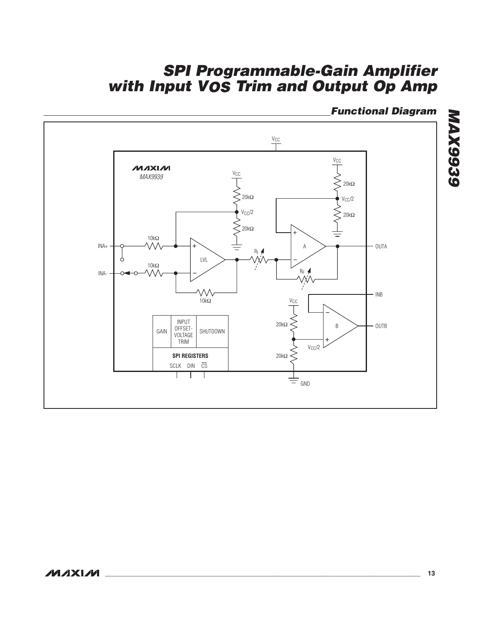# **Functional Diagram**



# **MAX9939 MAX9939**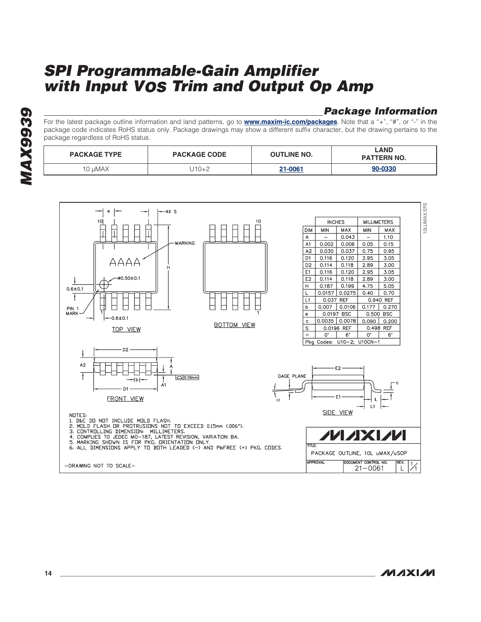## **Package Information**

For the latest package outline information and land patterns, go to **[www.maxim-ic.com/packages](http://www.maxim-ic.com/packages)**. Note that a "+", "#", or "-" in the package code indicates RoHS status only. Package drawings may show a different suffix character, but the drawing pertains to the package regardless of RoHS status.

| <b>PACKAGE TYPE</b> | <b>PACKAGE CODE</b> | <b>OUTLINE NO.</b> | ∟AND<br><b>PATTERN NO.</b> |
|---------------------|---------------------|--------------------|----------------------------|
| 10 uMAX             | J10+2               | 21-0061            | 90-0330                    |



**MAX9939 AX9939**